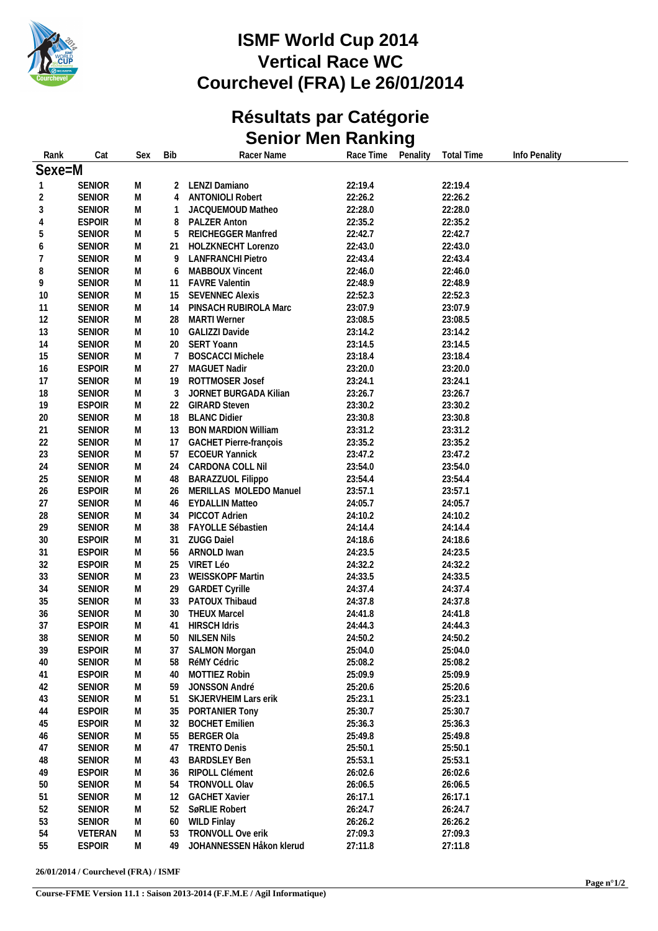

# **ISMF World Cup 2014 Vertical Race WC Courchevel (FRA) Le 26/01/2014**

# **Résultats par Catégorie Senior Men Ranking**

| Rank           | Cat           | Sex | <b>Bib</b> | Racer Name                    | Race Time          | Penality | <b>Total Time</b>  | Info Penality |
|----------------|---------------|-----|------------|-------------------------------|--------------------|----------|--------------------|---------------|
| Sexe=M         |               |     |            |                               |                    |          |                    |               |
| $\mathbf{1}$   | <b>SENIOR</b> | M   | 2          | LENZI Damiano                 | 22:19.4            |          | 22:19.4            |               |
| 2              | <b>SENIOR</b> | M   | 4          | <b>ANTONIOLI Robert</b>       | 22:26.2            |          | 22:26.2            |               |
| $\sqrt{3}$     | <b>SENIOR</b> | M   | 1          | JACQUEMOUD Matheo             | 22:28.0            |          | 22:28.0            |               |
| $\overline{4}$ | <b>ESPOIR</b> | M   | 8          | PALZER Anton                  | 22:35.2            |          | 22:35.2            |               |
| 5              | <b>SENIOR</b> | M   | 5          | REICHEGGER Manfred            | 22:42.7            |          | 22:42.7            |               |
| 6              | <b>SENIOR</b> | M   | 21         | HOLZKNECHT Lorenzo            | 22:43.0            |          | 22:43.0            |               |
| $\overline{7}$ | <b>SENIOR</b> | M   | 9          | <b>LANFRANCHI Pietro</b>      | 22:43.4            |          | 22:43.4            |               |
| 8              | <b>SENIOR</b> | M   | 6          | MABBOUX Vincent               | 22:46.0            |          | 22:46.0            |               |
| 9              | <b>SENIOR</b> | M   | 11         | <b>FAVRE Valentin</b>         | 22:48.9            |          | 22:48.9            |               |
| 10             | <b>SENIOR</b> | M   | 15         | <b>SEVENNEC Alexis</b>        | 22:52.3            |          | 22:52.3            |               |
| 11             | <b>SENIOR</b> | M   | 14         | PINSACH RUBIROLA Marc         | 23:07.9            |          | 23:07.9            |               |
| 12             | <b>SENIOR</b> | M   | 28.        | <b>MARTI</b> Werner           | 23:08.5            |          | 23:08.5            |               |
| 13             | <b>SENIOR</b> | M   | 10         | GALIZZI Davide                | 23:14.2            |          | 23:14.2            |               |
|                |               |     |            |                               |                    |          |                    |               |
| 14             | <b>SENIOR</b> | M   | 20         | SERT Yoann                    | 23:14.5<br>23:18.4 |          | 23:14.5<br>23:18.4 |               |
| 15             | <b>SENIOR</b> | M   | 7          | <b>BOSCACCI Michele</b>       |                    |          |                    |               |
| 16             | <b>ESPOIR</b> | M   | 27         | MAGUET Nadir                  | 23:20.0            |          | 23:20.0            |               |
| 17             | <b>SENIOR</b> | M   | 19         | ROTTMOSER Josef               | 23:24.1            |          | 23:24.1            |               |
| 18             | <b>SENIOR</b> | M   | 3          | JORNET BURGADA Kilian         | 23:26.7            |          | 23:26.7            |               |
| 19             | <b>ESPOIR</b> | M   | 22         | <b>GIRARD Steven</b>          | 23:30.2            |          | 23:30.2            |               |
| 20             | <b>SENIOR</b> | M   | 18         | <b>BLANC Didier</b>           | 23:30.8            |          | 23:30.8            |               |
| 21             | <b>SENIOR</b> | M   | 13         | <b>BON MARDION William</b>    | 23:31.2            |          | 23:31.2            |               |
| 22             | <b>SENIOR</b> | M   | 17         | <b>GACHET Pierre-françois</b> | 23:35.2            |          | 23:35.2            |               |
| 23             | <b>SENIOR</b> | M   | 57         | <b>ECOEUR Yannick</b>         | 23:47.2            |          | 23:47.2            |               |
| 24             | <b>SENIOR</b> | M   | 24         | CARDONA COLL Nil              | 23:54.0            |          | 23:54.0            |               |
| 25             | <b>SENIOR</b> | M   | 48         | <b>BARAZZUOL Filippo</b>      | 23:54.4            |          | 23:54.4            |               |
| 26             | <b>ESPOIR</b> | M   | 26         | MERILLAS MOLEDO Manuel        | 23:57.1            |          | 23:57.1            |               |
| 27             | <b>SENIOR</b> | M   | 46         | <b>EYDALLIN Matteo</b>        | 24:05.7            |          | 24:05.7            |               |
| 28             | <b>SENIOR</b> | M   | 34         | PICCOT Adrien                 | 24:10.2            |          | 24:10.2            |               |
| 29             | <b>SENIOR</b> | M   | 38         | FAYOLLE Sébastien             | 24:14.4            |          | 24:14.4            |               |
| 30             | <b>ESPOIR</b> | M   | 31         | <b>ZUGG Daiel</b>             | 24:18.6            |          | 24:18.6            |               |
| 31             | <b>ESPOIR</b> | M   | 56         | ARNOLD Iwan                   | 24:23.5            |          | 24:23.5            |               |
| 32             | <b>ESPOIR</b> | M   | 25         | VIRET Léo                     | 24:32.2            |          | 24:32.2            |               |
| 33             | <b>SENIOR</b> | M   | 23         | WEISSKOPF Martin              | 24:33.5            |          | 24:33.5            |               |
| 34             | <b>SENIOR</b> | M   | 29         | <b>GARDET Cyrille</b>         | 24:37.4            |          | 24:37.4            |               |
| 35             | <b>SENIOR</b> | M   | 33         | PATOUX Thibaud                | 24:37.8            |          | 24:37.8            |               |
| 36             | <b>SENIOR</b> | M   | 30         | <b>THEUX Marcel</b>           | 24:41.8            |          | 24:41.8            |               |
| 37             | <b>ESPOIR</b> | M   | 41         | <b>HIRSCH Idris</b>           | 24:44.3            |          | 24:44.3            |               |
| 38             | <b>SENIOR</b> | M   | 50         | <b>NILSEN Nils</b>            | 24:50.2            |          | 24:50.2            |               |
| 39             | <b>ESPOIR</b> | M   | 37         | <b>SALMON Morgan</b>          | 25:04.0            |          | 25:04.0            |               |
| 40             | <b>SENIOR</b> | M   | 58         | RéMY Cédric                   | 25:08.2            |          | 25:08.2            |               |
| 41             | <b>ESPOIR</b> | M   | 40         | MOTTIEZ Robin                 | 25:09.9            |          | 25:09.9            |               |
| 42             | <b>SENIOR</b> | M   | 59         | JONSSON André                 | 25:20.6            |          | 25:20.6            |               |
| 43             | <b>SENIOR</b> | M   | 51         | SKJERVHEIM Lars erik          | 25:23.1            |          | 25:23.1            |               |
| 44             | <b>ESPOIR</b> | M   | 35         | PORTANIER Tony                | 25:30.7            |          | 25:30.7            |               |
| 45             | <b>ESPOIR</b> | M   | 32         | <b>BOCHET Emilien</b>         | 25:36.3            |          | 25:36.3            |               |
| 46             | <b>SENIOR</b> | M   | 55         | <b>BERGER Ola</b>             | 25:49.8            |          | 25:49.8            |               |
| 47             | <b>SENIOR</b> | M   | 47         | <b>TRENTO Denis</b>           | 25:50.1            |          | 25:50.1            |               |
| 48             | <b>SENIOR</b> | M   | 43         | <b>BARDSLEY Ben</b>           | 25:53.1            |          | 25:53.1            |               |
| 49             | <b>ESPOIR</b> | M   | 36         | RIPOLL Clément                | 26:02.6            |          | 26:02.6            |               |
| 50             | <b>SENIOR</b> | M   | 54         | TRONVOLL Olav                 | 26:06.5            |          | 26:06.5            |               |
| 51             | <b>SENIOR</b> | M   | 12         | <b>GACHET Xavier</b>          | 26:17.1            |          | 26:17.1            |               |
|                | <b>SENIOR</b> | M   | 52         | SøRLIE Robert                 | 26:24.7            |          | 26:24.7            |               |
| 52             |               |     |            |                               |                    |          |                    |               |
| 53             | <b>SENIOR</b> | M   | 60         | <b>WILD Finlay</b>            | 26:26.2            |          | 26:26.2            |               |
| 54             | VETERAN       | M   | 53         | TRONVOLL Ove erik             | 27:09.3            |          | 27:09.3            |               |
| 55             | <b>ESPOIR</b> | M   | 49         | JOHANNESSEN Håkon klerud      | 27:11.8            |          | 27:11.8            |               |

**26/01/2014 / Courchevel (FRA) / ISMF**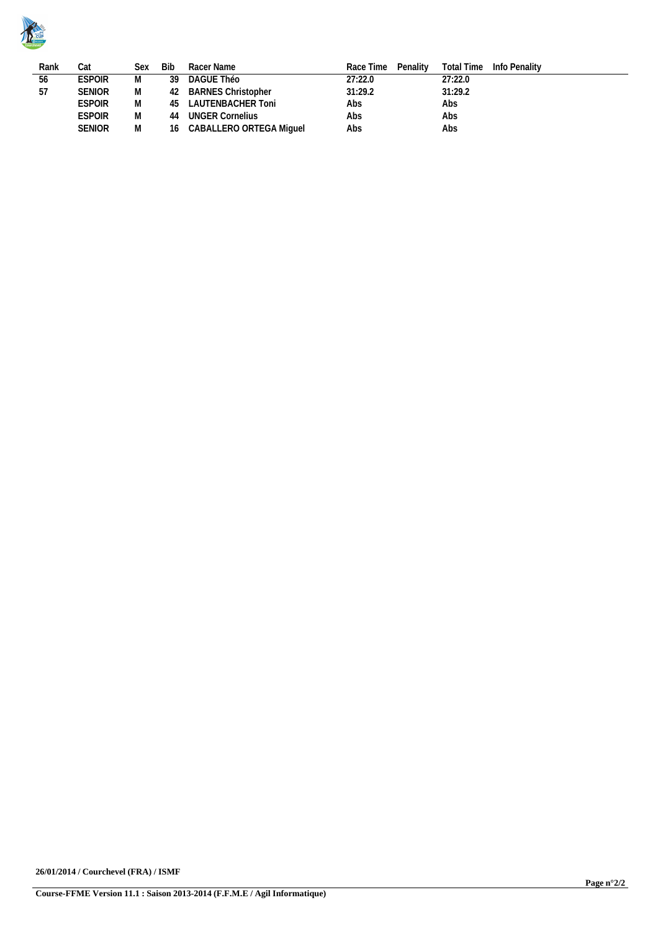

| Rank | Cat           | Sex | Bib | Racer Name                 | Race Time Penality | Total Time Info Penality |
|------|---------------|-----|-----|----------------------------|--------------------|--------------------------|
| 56   | <b>ESPOIR</b> | M   | -39 | DAGUE Théo                 | 27:22.0            | 27:22.0                  |
| 57   | <b>SENIOR</b> | M   |     | 42 BARNES Christopher      | 31:29.2            | 31:29.2                  |
|      | <b>ESPOIR</b> | M   | 45  | LAUTENBACHER Toni          | Abs                | Abs                      |
|      | <b>ESPOIR</b> | M   | 44  | UNGER Cornelius            | Abs                | Abs                      |
|      | <b>SENIOR</b> | M   |     | 16 CABALLERO ORTEGA Miguel | Abs                | Abs                      |
|      |               |     |     |                            |                    |                          |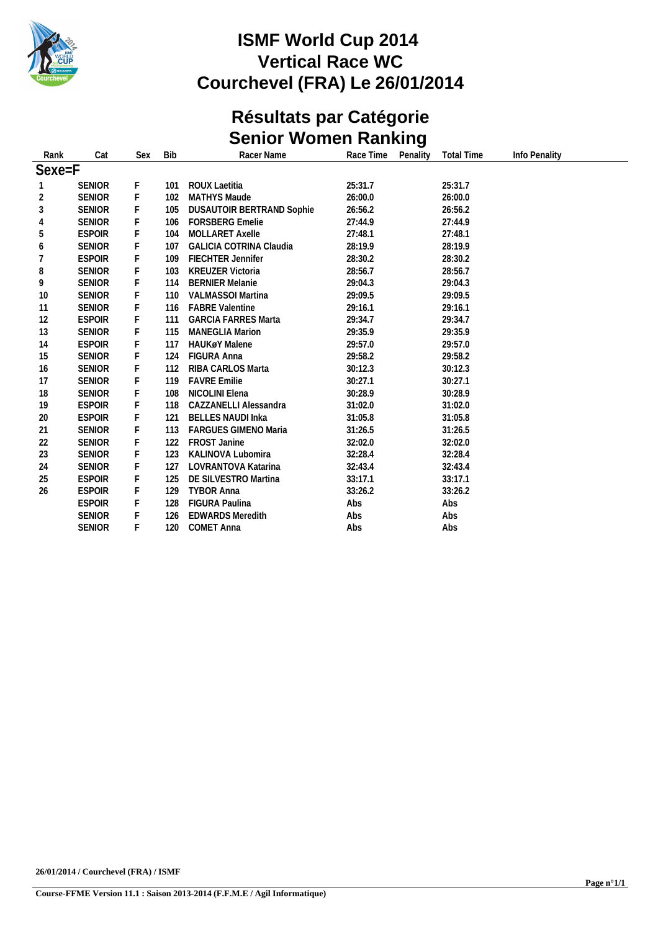

## **ISMF World Cup 2014 Vertical Race WC Courchevel (FRA) Le 26/01/2014**

# **Résultats par Catégorie Senior Women Ranking**

| Rank           | Cat           | Sex | <b>Bib</b> | Racer Name                       | Race Time<br>Penality | <b>Total Time</b> | Info Penality |  |
|----------------|---------------|-----|------------|----------------------------------|-----------------------|-------------------|---------------|--|
| Sexe=F         |               |     |            |                                  |                       |                   |               |  |
|                | <b>SENIOR</b> | F.  | 101        | <b>ROUX Laetitia</b>             | 25:31.7               | 25:31.7           |               |  |
| $\overline{c}$ | <b>SENIOR</b> | F   | 102        | <b>MATHYS Maude</b>              | 26:00.0               | 26:00.0           |               |  |
| 3              | <b>SENIOR</b> | F   | 105        | <b>DUSAUTOIR BERTRAND Sophie</b> | 26:56.2               | 26:56.2           |               |  |
| 4              | <b>SENIOR</b> |     | 106        | <b>FORSBERG Emelie</b>           | 27:44.9               | 27:44.9           |               |  |
| 5              | <b>ESPOIR</b> | F   | 104        | MOLLARET Axelle                  | 27:48.1               | 27:48.1           |               |  |
| 6              | <b>SENIOR</b> |     | 107        | <b>GALICIA COTRINA Claudia</b>   | 28:19.9               | 28:19.9           |               |  |
| 7              | <b>ESPOIR</b> | F   | 109        | <b>FIECHTER Jennifer</b>         | 28:30.2               | 28:30.2           |               |  |
| 8              | <b>SENIOR</b> |     | 103        | <b>KREUZER Victoria</b>          | 28:56.7               | 28:56.7           |               |  |
| 9              | <b>SENIOR</b> | F   | 114        | <b>BERNIER Melanie</b>           | 29:04.3               | 29:04.3           |               |  |
| 10             | <b>SENIOR</b> | F   | 110        | <b>VALMASSOI Martina</b>         | 29:09.5               | 29:09.5           |               |  |
| 11             | <b>SENIOR</b> | F   | 116        | <b>FABRE Valentine</b>           | 29:16.1               | 29:16.1           |               |  |
| 12             | <b>ESPOIR</b> |     | 111        | <b>GARCIA FARRES Marta</b>       | 29:34.7               | 29:34.7           |               |  |
| 13             | <b>SENIOR</b> | F   | 115        | <b>MANEGLIA Marion</b>           | 29:35.9               | 29:35.9           |               |  |
| 14             | <b>ESPOIR</b> | F   | 117        | <b>HAUKøY Malene</b>             | 29:57.0               | 29:57.0           |               |  |
| 15             | <b>SENIOR</b> | F   | 124        | FIGURA Anna                      | 29:58.2               | 29:58.2           |               |  |
| 16             | <b>SENIOR</b> | F   | 112        | RIBA CARLOS Marta                | 30:12.3               | 30:12.3           |               |  |
| 17             | <b>SENIOR</b> | F   | 119        | <b>FAVRE Emilie</b>              | 30:27.1               | 30:27.1           |               |  |
| 18             | <b>SENIOR</b> | F   | 108        | NICOLINI Elena                   | 30:28.9               | 30:28.9           |               |  |
| 19             | <b>ESPOIR</b> | F   | 118        | CAZZANELLI Alessandra            | 31:02.0               | 31:02.0           |               |  |
| 20             | <b>ESPOIR</b> |     | 121        | <b>BELLES NAUDI Inka</b>         | 31:05.8               | 31:05.8           |               |  |
| 21             | <b>SENIOR</b> | F   | 113        | <b>FARGUES GIMENO Maria</b>      | 31:26.5               | 31:26.5           |               |  |
| 22             | <b>SENIOR</b> | F   | 122        | <b>FROST Janine</b>              | 32:02.0               | 32:02.0           |               |  |
| 23             | <b>SENIOR</b> | F   | 123        | KALINOVA Lubomira                | 32:28.4               | 32:28.4           |               |  |
| 24             | <b>SENIOR</b> |     | 127        | LOVRANTOVA Katarina              | 32:43.4               | 32:43.4           |               |  |
| 25             | <b>ESPOIR</b> | F   | 125        | DE SILVESTRO Martina             | 33:17.1               | 33:17.1           |               |  |
| 26             | <b>ESPOIR</b> | F   | 129        | <b>TYBOR Anna</b>                | 33:26.2               | 33:26.2           |               |  |
|                | <b>ESPOIR</b> | F   | 128        | <b>FIGURA Paulina</b>            | Abs                   | Abs               |               |  |
|                | <b>SENIOR</b> |     | 126        | <b>EDWARDS Meredith</b>          | Abs                   | Abs               |               |  |
|                | <b>SENIOR</b> | F.  | 120        | <b>COMET Anna</b>                | Abs                   | Abs               |               |  |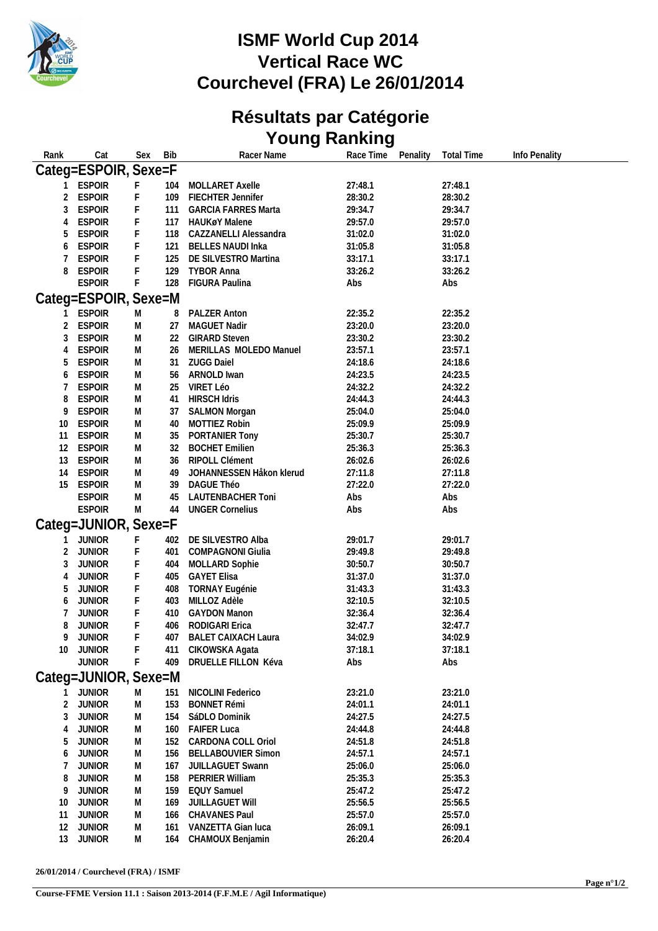

# **ISMF World Cup 2014 Vertical Race WC Courchevel (FRA) Le 26/01/2014**

#### **Résultats par Catégorie Young Ranking**

| Rank                 | Cat                  | Sex | <b>Bib</b> | Racer Name                 | Race Time<br>Penality | <b>Total Time</b><br>Info Penality |  |  |
|----------------------|----------------------|-----|------------|----------------------------|-----------------------|------------------------------------|--|--|
| Categ=ESPOIR, Sexe=F |                      |     |            |                            |                       |                                    |  |  |
|                      | <b>ESPOIR</b>        | F   | 104        | MOLLARET Axelle            | 27:48.1               | 27:48.1                            |  |  |
| 2                    | <b>ESPOIR</b>        | F   | 109        | FIECHTER Jennifer          | 28:30.2               | 28:30.2                            |  |  |
| 3                    | <b>ESPOIR</b>        | F.  | 111        | <b>GARCIA FARRES Marta</b> | 29:34.7               | 29:34.7                            |  |  |
| 4                    | <b>ESPOIR</b>        | F   | 117        | HAUKøY Malene              | 29:57.0               | 29:57.0                            |  |  |
| 5                    | <b>ESPOIR</b>        | F   | 118        | CAZZANELLI Alessandra      | 31:02.0               | 31:02.0                            |  |  |
| 6                    | <b>ESPOIR</b>        | F   | 121        | <b>BELLES NAUDI Inka</b>   | 31:05.8               | 31:05.8                            |  |  |
| 7                    | <b>ESPOIR</b>        | F   | 125        | DE SILVESTRO Martina       | 33:17.1               | 33:17.1                            |  |  |
| 8                    | <b>ESPOIR</b>        | F   | 129        | <b>TYBOR Anna</b>          | 33:26.2               | 33:26.2                            |  |  |
|                      | <b>ESPOIR</b>        | F   | 128        | FIGURA Paulina             | Abs                   | Abs                                |  |  |
|                      | Categ=ESPOIR, Sexe=M |     |            |                            |                       |                                    |  |  |
|                      |                      |     |            |                            |                       |                                    |  |  |
|                      | <b>ESPOIR</b>        | M   | 8          | PALZER Anton               | 22:35.2               | 22:35.2                            |  |  |
| $\overline{2}$       | <b>ESPOIR</b>        | M   | 27         | MAGUET Nadir               | 23:20.0               | 23:20.0                            |  |  |
| 3                    | <b>ESPOIR</b>        | M   | 22         | <b>GIRARD Steven</b>       | 23:30.2               | 23:30.2                            |  |  |
| $\overline{4}$       | <b>ESPOIR</b>        | M   | 26         | MERILLAS MOLEDO Manuel     | 23:57.1               | 23:57.1                            |  |  |
| 5                    | <b>ESPOIR</b>        | M   | 31         | <b>ZUGG Daiel</b>          | 24:18.6               | 24:18.6                            |  |  |
| 6                    | <b>ESPOIR</b>        | M   | 56         | ARNOLD Iwan                | 24:23.5               | 24:23.5                            |  |  |
| 7                    | <b>ESPOIR</b>        | M   | 25         | VIRET Léo                  | 24:32.2               | 24:32.2                            |  |  |
| 8                    | <b>ESPOIR</b>        | M   | 41         | <b>HIRSCH Idris</b>        | 24:44.3               | 24:44.3                            |  |  |
| 9                    | <b>ESPOIR</b>        | M   | 37         | <b>SALMON Morgan</b>       | 25:04.0               | 25:04.0                            |  |  |
| 10                   | <b>ESPOIR</b>        | M   | 40         | MOTTIEZ Robin              | 25:09.9               | 25:09.9                            |  |  |
| 11                   | <b>ESPOIR</b>        | M   | 35         | PORTANIER Tony             | 25:30.7               | 25:30.7                            |  |  |
| 12                   | <b>ESPOIR</b>        | M   | 32         | <b>BOCHET Emilien</b>      | 25:36.3               | 25:36.3                            |  |  |
| 13                   | <b>ESPOIR</b>        | M   | 36         | RIPOLL Clément             | 26:02.6               | 26:02.6                            |  |  |
| 14                   | <b>ESPOIR</b>        | M   | 49         | JOHANNESSEN Håkon klerud   | 27:11.8               | 27:11.8                            |  |  |
| 15                   | <b>ESPOIR</b>        | M   | 39         | DAGUE Théo                 | 27:22.0               | 27:22.0                            |  |  |
|                      | <b>ESPOIR</b>        | M   | 45         | LAUTENBACHER Toni          | Abs                   | Abs                                |  |  |
|                      | <b>ESPOIR</b>        | M   | 44         | <b>UNGER Cornelius</b>     | Abs                   | Abs                                |  |  |
|                      | Categ=JUNIOR, Sexe=F |     |            |                            |                       |                                    |  |  |
|                      | <b>JUNIOR</b>        | F   | 402        | DE SILVESTRO Alba          | 29:01.7               | 29:01.7                            |  |  |
| 2                    | <b>JUNIOR</b>        | F   | 401        | <b>COMPAGNONI Giulia</b>   | 29:49.8               | 29:49.8                            |  |  |
| 3                    | <b>JUNIOR</b>        | F   | 404        | <b>MOLLARD Sophie</b>      | 30:50.7               | 30:50.7                            |  |  |
| $\overline{4}$       | <b>JUNIOR</b>        | F   | 405        | <b>GAYET Elisa</b>         | 31:37.0               | 31:37.0                            |  |  |
| 5                    | <b>JUNIOR</b>        | F   | 408        | <b>TORNAY Eugénie</b>      | 31:43.3               | 31:43.3                            |  |  |
| 6                    | <b>JUNIOR</b>        | F   | 403        | MILLOZ Adèle               | 32:10.5               | 32:10.5                            |  |  |
| 7                    | <b>JUNIOR</b>        | F   | 410        | <b>GAYDON Manon</b>        | 32:36.4               | 32:36.4                            |  |  |
| 8                    | <b>JUNIOR</b>        | F   | 406        | RODIGARI Erica             | 32:47.7               | 32:47.7                            |  |  |
| 9                    | <b>JUNIOR</b>        | F   | 407        | <b>BALET CAIXACH Laura</b> | 34:02.9               | 34:02.9                            |  |  |
| 10                   | <b>JUNIOR</b>        | F   | 411        | CIKOWSKA Agata             | 37:18.1               | 37:18.1                            |  |  |
|                      | <b>JUNIOR</b>        | F   | 409        | DRUELLE FILLON Kéva        | Abs                   | Abs                                |  |  |
|                      | Categ=JUNIOR, Sexe=M |     |            |                            |                       |                                    |  |  |
|                      | <b>JUNIOR</b>        | M   | 151        | NICOLINI Federico          | 23:21.0               | 23:21.0                            |  |  |
| 2                    | <b>JUNIOR</b>        | M   | 153        | <b>BONNET Rémi</b>         | 24:01.1               | 24:01.1                            |  |  |
| 3                    | <b>JUNIOR</b>        | M   | 154        | SáDLO Dominik              | 24:27.5               | 24:27.5                            |  |  |
| 4                    | <b>JUNIOR</b>        | M   | 160        | <b>FAIFER Luca</b>         | 24:44.8               | 24:44.8                            |  |  |
| 5                    | <b>JUNIOR</b>        | M   | 152        | CARDONA COLL Oriol         | 24:51.8               | 24:51.8                            |  |  |
| 6                    | <b>JUNIOR</b>        | M   | 156        | <b>BELLABOUVIER Simon</b>  | 24:57.1               | 24:57.1                            |  |  |
| 7                    | <b>JUNIOR</b>        | M   | -167       | JUILLAGUET Swann           | 25:06.0               | 25:06.0                            |  |  |
| 8                    | <b>JUNIOR</b>        | M   | 158        | PERRIER William            | 25:35.3               | 25:35.3                            |  |  |
| 9                    | <b>JUNIOR</b>        | M   | 159        | <b>EQUY Samuel</b>         | 25:47.2               | 25:47.2                            |  |  |
| 10                   | <b>JUNIOR</b>        | M   | 169        | JUILLAGUET Will            | 25:56.5               | 25:56.5                            |  |  |
| 11                   | <b>JUNIOR</b>        | M   | 166        | CHAVANES Paul              | 25:57.0               | 25:57.0                            |  |  |
| 12                   | <b>JUNIOR</b>        | M   | 161        | VANZETTA Gian luca         | 26:09.1               | 26:09.1                            |  |  |
|                      | 13 JUNIOR            | M   | 164        | CHAMOUX Benjamin           | 26:20.4               | 26:20.4                            |  |  |

**26/01/2014 / Courchevel (FRA) / ISMF**